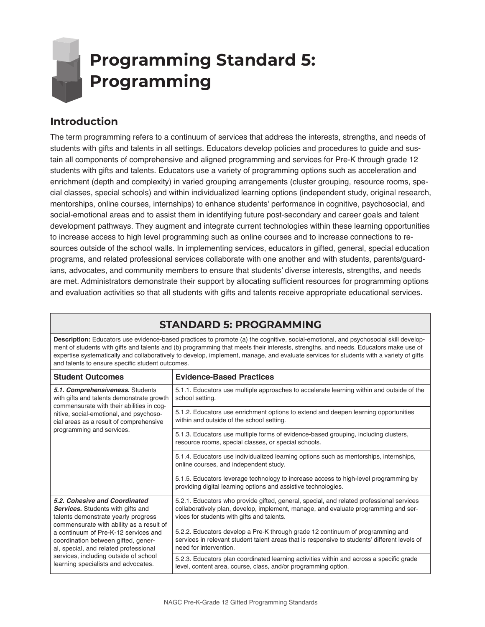## **Programming Standard 5: Programming**

## **Introduction**

The term programming refers to a continuum of services that address the interests, strengths, and needs of students with gifts and talents in all settings. Educators develop policies and procedures to guide and sustain all components of comprehensive and aligned programming and services for Pre-K through grade 12 students with gifts and talents. Educators use a variety of programming options such as acceleration and enrichment (depth and complexity) in varied grouping arrangements (cluster grouping, resource rooms, special classes, special schools) and within individualized learning options (independent study, original research, mentorships, online courses, internships) to enhance students' performance in cognitive, psychosocial, and social-emotional areas and to assist them in identifying future post-secondary and career goals and talent development pathways. They augment and integrate current technologies within these learning opportunities to increase access to high level programming such as online courses and to increase connections to resources outside of the school walls. In implementing services, educators in gifted, general, special education programs, and related professional services collaborate with one another and with students, parents/guardians, advocates, and community members to ensure that students' diverse interests, strengths, and needs are met. Administrators demonstrate their support by allocating sufficient resources for programming options and evaluation activities so that all students with gifts and talents receive appropriate educational services.

| <b>STANDARD 5: PROGRAMMING</b>                                                                                                                                                                                                                                                                                                                                                                                                                                                  |                                                                                                                                                                                                                               |  |
|---------------------------------------------------------------------------------------------------------------------------------------------------------------------------------------------------------------------------------------------------------------------------------------------------------------------------------------------------------------------------------------------------------------------------------------------------------------------------------|-------------------------------------------------------------------------------------------------------------------------------------------------------------------------------------------------------------------------------|--|
| <b>Description:</b> Educators use evidence-based practices to promote (a) the cognitive, social-emotional, and psychosocial skill develop-<br>ment of students with gifts and talents and (b) programming that meets their interests, strengths, and needs. Educators make use of<br>expertise systematically and collaboratively to develop, implement, manage, and evaluate services for students with a variety of gifts<br>and talents to ensure specific student outcomes. |                                                                                                                                                                                                                               |  |
| <b>Student Outcomes</b>                                                                                                                                                                                                                                                                                                                                                                                                                                                         | <b>Evidence-Based Practices</b>                                                                                                                                                                                               |  |
| 5.1. Comprehensiveness. Students<br>with gifts and talents demonstrate growth<br>commensurate with their abilities in cog-<br>nitive, social-emotional, and psychoso-<br>cial areas as a result of comprehensive<br>programming and services.                                                                                                                                                                                                                                   | 5.1.1. Educators use multiple approaches to accelerate learning within and outside of the<br>school setting.                                                                                                                  |  |
|                                                                                                                                                                                                                                                                                                                                                                                                                                                                                 | 5.1.2. Educators use enrichment options to extend and deepen learning opportunities<br>within and outside of the school setting.                                                                                              |  |
|                                                                                                                                                                                                                                                                                                                                                                                                                                                                                 | 5.1.3. Educators use multiple forms of evidence-based grouping, including clusters,<br>resource rooms, special classes, or special schools.                                                                                   |  |
|                                                                                                                                                                                                                                                                                                                                                                                                                                                                                 | 5.1.4. Educators use individualized learning options such as mentorships, internships,<br>online courses, and independent study.                                                                                              |  |
|                                                                                                                                                                                                                                                                                                                                                                                                                                                                                 | 5.1.5. Educators leverage technology to increase access to high-level programming by<br>providing digital learning options and assistive technologies.                                                                        |  |
| 5.2. Cohesive and Coordinated<br><b>Services.</b> Students with gifts and<br>talents demonstrate yearly progress<br>commensurate with ability as a result of<br>a continuum of Pre-K-12 services and<br>coordination between gifted, gener-<br>al, special, and related professional<br>services, including outside of school<br>learning specialists and advocates.                                                                                                            | 5.2.1. Educators who provide gifted, general, special, and related professional services<br>collaboratively plan, develop, implement, manage, and evaluate programming and ser-<br>vices for students with gifts and talents. |  |
|                                                                                                                                                                                                                                                                                                                                                                                                                                                                                 | 5.2.2. Educators develop a Pre-K through grade 12 continuum of programming and<br>services in relevant student talent areas that is responsive to students' different levels of<br>need for intervention.                     |  |
|                                                                                                                                                                                                                                                                                                                                                                                                                                                                                 | 5.2.3. Educators plan coordinated learning activities within and across a specific grade<br>level, content area, course, class, and/or programming option.                                                                    |  |